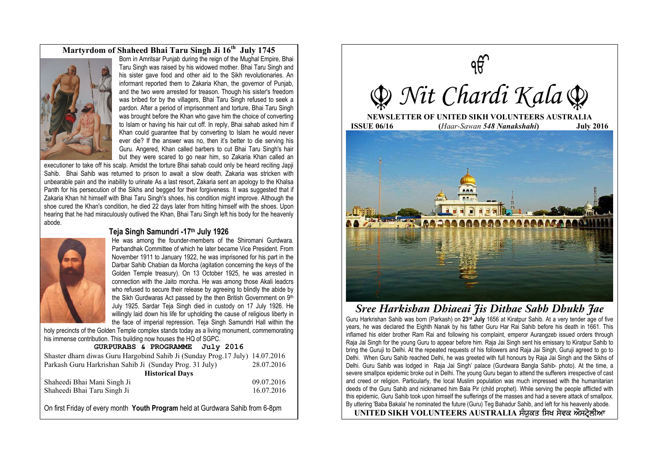### **Martyrdom of Shaheed Bhai Taru Singh Ji 16th July 1745**



Born in Amritsar Punjab during the reign of the Mughal Empire, Bhai Taru Singh was raised by his widowed mother. Bhai Taru Singh and his sister gave food and other aid to the Sikh revolutionaries. An informant reported them to Zakaria Khan, the governor of Punjab, and the two were arrested for treason. Though his sister's freedom was bribed for by the villagers, Bhai Taru Singh refused to seek a pardon. After a period of imprisonment and torture, Bhai Taru Singh was brought before the Khan who gave him the choice of converting to Islam or having his hair cut off. In reply, Bhai sahab asked him if Khan could guarantee that by converting to Islam he would never ever die? If the answer was no, then it's better to die serving his Guru. Angered, Khan called barbers to cut Bhai Taru Singh's hair but they were scared to go near him, so Zakaria Khan called an

executioner to take off his scalp. Amidst the torture Bhai sahab could only be heard reciting Japji Sahib. Bhai Sahib was returned to prison to await a slow death. Zakaria was stricken with unbearable pain and the inability to urinate. As a last resort, Zakaria sent an apology to the Khalsa Panth for his persecution of the Sikhs and begged for their forgiveness. It was suggested that if Zakaria Khan hit himself with Bhai Taru Singh's shoes, his condition might improve. Although the shoe cured the Khan's condition, he died 22 days later from hitting himself with the shoes. Upon hearing that he had miraculously outlived the Khan, Bhai Taru Singh left his body for the heavenly abode.



#### **Teja Singh Samundri -17th July 1926**

He was among the founder-members of the Shiromani Gurdwara. Parbandhak Committee of which he later became Vice President. From November 1911 to January 1922, he was imprisoned for his part in the Darbar Sahib Chabian da Morcha (agitation concerning the keys of the Golden Temple treasury). On 13 October 1925, he was arrested in connection with the Jaito morcha. He was among those Akali leadcrs who refused to secure their release by agreeing to blindly the abide by the Sikh Gurdwaras Act passed by the then British Government on 9th July 1925. Sardar Teja Singh died in custody on 17 July 1926. He willingly laid down his life for upholding the cause of religious liberty in the face of imperial repression. Teja Singh Samundri Hall within the

holy precincts of the Golden Temple complex stands today as a living monument, commemorating his immense contribution. This building now houses the HQ of SGPC.

#### **GURPURABS & PROGRAMME July 2016**

| Shaster dharn diwas Guru Hargobind Sahib Ji (Sunday Prog. 17 July) 14.07.2016 |            |
|-------------------------------------------------------------------------------|------------|
| Parkash Guru Harkrishan Sahib Ji (Sunday Prog. 31 July)                       | 28.07.2016 |
| <b>Historical Days</b>                                                        |            |
| Shaheedi Bhai Mani Singh Ji                                                   | 09.07.2016 |
| Shaheedi Bhai Taru Singh Ji                                                   | 16.07.2016 |
|                                                                               |            |

On first Friday of every month **Youth Program** held at Gurdwara Sahib from 6-8pm



## **Sree Harkishan Dhiaeai Jis Dithae Sabh Dhukh Jae**

Guru Harkrishan Sahib was born (Parkash) on **23rd July** 1656 at Kiratpur Sahib. At a very tender age of five years, he was declared the Eighth Nanak by his father Guru Har Rai Sahib before his death in 1661. This inflamed his elder brother Ram Rai and following his complaint, emperor Aurangzeb issued orders through Raja Jai Singh for the young Guru to appear before him. Raja Jai Singh sent his emissary to Kiratpur Sahib to bring the Guruji to Delhi. At the repeated requests of his followers and Raja Jai Singh, Guruji agreed to go to Delhi. When Guru Sahib reached Delhi, he was greeted with full honours by Raja Jai Singh and the Sikhs of Delhi. Guru Sahib was lodged in Raja Jai Singh' palace (Gurdwara Bangla Sahib- photo). At the time, a severe smallpox epidemic broke out in Delhi. The young Guru began to attend the sufferers irrespective of cast and creed or religion. Particularly, the local Muslim population was much impressed with the humanitarian deeds of the Guru Sahib and nicknamed him Bala Pir (child prophet). While serving the people afflicted with this epidemic, Guru Sahib took upon himself the sufferings of the masses and had a severe attack of smallpox. By uttering 'Baba Bakala' he nominated the future (Guru) Teg Bahadur Sahib, and left for his heavenly abode.

UNITED SIKH VOLUNTEERS AUSTRALIA ਸੰਯੁਕਤ ਸਿਖ ਸੇਵਕ ਔਸਟ੍ਰੇਲੀਆ